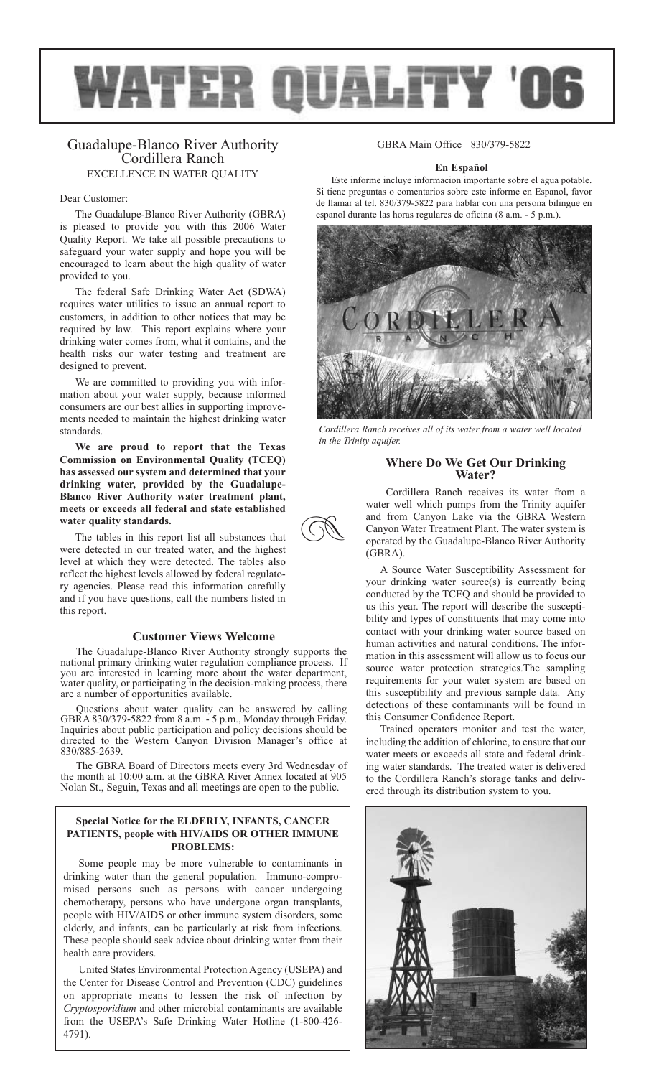

R

# Guadalupe-Blanco River Authority Cordillera Ranch EXCELLENCE IN WATER QUALITY

#### Dear Customer:

The Guadalupe-Blanco River Authority (GBRA) is pleased to provide you with this 2006 Water Quality Report. We take all possible precautions to safeguard your water supply and hope you will be encouraged to learn about the high quality of water provided to you.

The federal Safe Drinking Water Act (SDWA) requires water utilities to issue an annual report to customers, in addition to other notices that may be required by law. This report explains where your drinking water comes from, what it contains, and the health risks our water testing and treatment are designed to prevent.

We are committed to providing you with information about your water supply, because informed consumers are our best allies in supporting improvements needed to maintain the highest drinking water standards.

**We are proud to report that the Texas Commission on Environmental Quality (TCEQ) has assessed our system and determined that your drinking water, provided by the Guadalupe-Blanco River Authority water treatment plant, meets or exceeds all federal and state established water quality standards.**

The tables in this report list all substances that were detected in our treated water, and the highest level at which they were detected. The tables also reflect the highest levels allowed by federal regulatory agencies. Please read this information carefully and if you have questions, call the numbers listed in this report.

# **Customer Views Welcome**

The Guadalupe-Blanco River Authority strongly supports the national primary drinking water regulation compliance process. If you are interested in learning more about the water department, water quality, or participating in the decision-making process, there are a number of opportunities available.

Questions about water quality can be answered by calling GBRA 830/379-5822 from 8 a.m. - 5 p.m., Monday through Friday. Inquiries about public participation and policy decisions should be directed to the Western Canyon Division Manager's office at 830/885-2639.

The GBRA Board of Directors meets every 3rd Wednesday of the month at 10:00 a.m. at the GBRA River Annex located at 905 Nolan St., Seguin, Texas and all meetings are open to the public.

## **Special Notice for the ELDERLY, INFANTS, CANCER PATIENTS, people with HIV/AIDS OR OTHER IMMUNE PROBLEMS:**

Some people may be more vulnerable to contaminants in drinking water than the general population. Immuno-compromised persons such as persons with cancer undergoing chemotherapy, persons who have undergone organ transplants, people with HIV/AIDS or other immune system disorders, some elderly, and infants, can be particularly at risk from infections. These people should seek advice about drinking water from their health care providers.

United States Environmental Protection Agency (USEPA) and the Center for Disease Control and Prevention (CDC) guidelines on appropriate means to lessen the risk of infection by *Cryptosporidium* and other microbial contaminants are available from the USEPA's Safe Drinking Water Hotline (1-800-426- 4791).

# GBRA Main Office 830/379-5822

### **En Español**

Este informe incluye informacion importante sobre el agua potable. Si tiene preguntas o comentarios sobre este informe en Espanol, favor de llamar al tel. 830/379-5822 para hablar con una persona bilingue en espanol durante las horas regulares de oficina (8 a.m. - 5 p.m.).



*Cordillera Ranch receives all of its water from a water well located in the Trinity aquifer.*

# **Where Do We Get Our Drinking Water?**

Cordillera Ranch receives its water from a water well which pumps from the Trinity aquifer and from Canyon Lake via the GBRA Western Canyon Water Treatment Plant. The water system is operated by the Guadalupe-Blanco River Authority (GBRA).

A Source Water Susceptibility Assessment for your drinking water source(s) is currently being conducted by the TCEQ and should be provided to us this year. The report will describe the susceptibility and types of constituents that may come into contact with your drinking water source based on human activities and natural conditions. The information in this assessment will allow us to focus our source water protection strategies.The sampling requirements for your water system are based on this susceptibility and previous sample data. Any detections of these contaminants will be found in this Consumer Confidence Report.

Trained operators monitor and test the water, including the addition of chlorine, to ensure that our water meets or exceeds all state and federal drinking water standards. The treated water is delivered to the Cordillera Ranch's storage tanks and delivered through its distribution system to you.